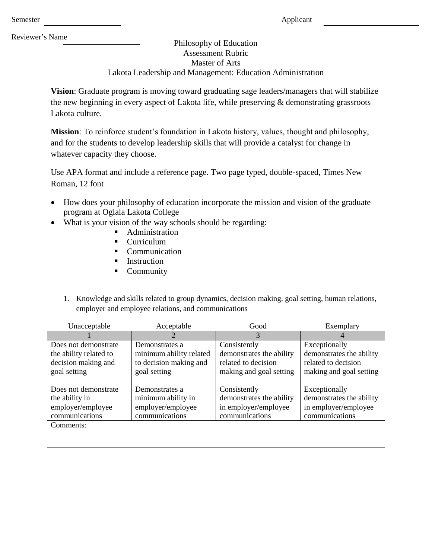Reviewer's Name

## Philosophy of Education Assessment Rubric Master of Arts Lakota Leadership and Management: Education Administration

**Vision**: Graduate program is moving toward graduating sage leaders/managers that will stabilize the new beginning in every aspect of Lakota life, while preserving & demonstrating grassroots dLakota culture.

**Mission**: To reinforce student's foundation in Lakota history, values, thought and philosophy, and for the students to develop leadership skills that will provide a catalyst for change in whatever capacity they choose.

Use APA format and include a reference page. Two page typed, double-spaced, Times New Roman, 12 font

- How does your philosophy of education incorporate the mission and vision of the graduate program at Oglala Lakota College
- What is your vision of the way schools should be regarding:
	- **Administration**
	- Curriculum
	- Communication
	- **Instruction**
	- **Community**
	- 1. Knowledge and skills related to group dynamics, decision making, goal setting, human relations, employer and employee relations, and communications

| Unacceptable           | Acceptable              | Good                     | Exemplary                |
|------------------------|-------------------------|--------------------------|--------------------------|
|                        |                         | 3                        |                          |
| Does not demonstrate   | Demonstrates a          | Consistently             | Exceptionally            |
| the ability related to | minimum ability related | demonstrates the ability | demonstrates the ability |
| decision making and    | to decision making and  | related to decision      | related to decision      |
| goal setting           | goal setting            | making and goal setting  | making and goal setting  |
|                        |                         |                          |                          |
| Does not demonstrate   | Demonstrates a          | Consistently             | Exceptionally            |
| the ability in         | minimum ability in      | demonstrates the ability | demonstrates the ability |
| employer/employee      | employer/employee       | in employer/employee     | in employer/employee     |
| communications         | communications          | communications           | communications           |
| Comments:              |                         |                          |                          |
|                        |                         |                          |                          |
|                        |                         |                          |                          |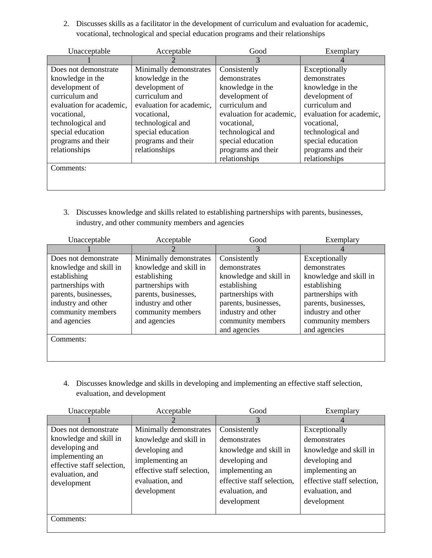2. Discusses skills as a facilitator in the development of curriculum and evaluation for academic, vocational, technological and special education programs and their relationships

| Unacceptable             | Acceptable               | Good                     | Exemplary                |
|--------------------------|--------------------------|--------------------------|--------------------------|
|                          |                          | 3                        |                          |
| Does not demonstrate     | Minimally demonstrates   | Consistently             | Exceptionally            |
| knowledge in the         | knowledge in the         | demonstrates             | demonstrates             |
| development of           | development of           | knowledge in the         | knowledge in the         |
| curriculum and           | curriculum and           | development of           | development of           |
| evaluation for academic, | evaluation for academic, | curriculum and           | curriculum and           |
| vocational,              | vocational,              | evaluation for academic, | evaluation for academic, |
| technological and        | technological and        | vocational,              | vocational,              |
| special education        | special education        | technological and        | technological and        |
| programs and their       | programs and their       | special education        | special education        |
| relationships            | relationships            | programs and their       | programs and their       |
|                          |                          | relationships            | relationships            |
| Comments:                |                          |                          |                          |
|                          |                          |                          |                          |
|                          |                          |                          |                          |

3. Discusses knowledge and skills related to establishing partnerships with parents, businesses, industry, and other community members and agencies

| Unacceptable           | Acceptable             | Good                   | Exemplary              |
|------------------------|------------------------|------------------------|------------------------|
|                        |                        | 3                      |                        |
| Does not demonstrate   | Minimally demonstrates | Consistently           | Exceptionally          |
| knowledge and skill in | knowledge and skill in | demonstrates           | demonstrates           |
| establishing           | establishing           | knowledge and skill in | knowledge and skill in |
| partnerships with      | partnerships with      | establishing           | establishing           |
| parents, businesses,   | parents, businesses,   | partnerships with      | partnerships with      |
| industry and other     | industry and other     | parents, businesses,   | parents, businesses,   |
| community members      | community members      | industry and other     | industry and other     |
| and agencies           | and agencies           | community members      | community members      |
|                        |                        | and agencies           | and agencies           |
| Comments:              |                        |                        |                        |
|                        |                        |                        |                        |
|                        |                        |                        |                        |

4. Discusses knowledge and skills in developing and implementing an effective staff selection, evaluation, and development

| Unacceptable                                                                                                                                        | Acceptable                                                                                                                                            | Good                                                                                                                                                        | Exemplary                                                                                                                                                    |
|-----------------------------------------------------------------------------------------------------------------------------------------------------|-------------------------------------------------------------------------------------------------------------------------------------------------------|-------------------------------------------------------------------------------------------------------------------------------------------------------------|--------------------------------------------------------------------------------------------------------------------------------------------------------------|
|                                                                                                                                                     |                                                                                                                                                       | 3                                                                                                                                                           |                                                                                                                                                              |
| Does not demonstrate<br>knowledge and skill in<br>developing and<br>implementing an<br>effective staff selection,<br>evaluation, and<br>development | Minimally demonstrates<br>knowledge and skill in<br>developing and<br>implementing an<br>effective staff selection,<br>evaluation, and<br>development | Consistently<br>demonstrates<br>knowledge and skill in<br>developing and<br>implementing an<br>effective staff selection,<br>evaluation, and<br>development | Exceptionally<br>demonstrates<br>knowledge and skill in<br>developing and<br>implementing an<br>effective staff selection,<br>evaluation, and<br>development |
| Comments:                                                                                                                                           |                                                                                                                                                       |                                                                                                                                                             |                                                                                                                                                              |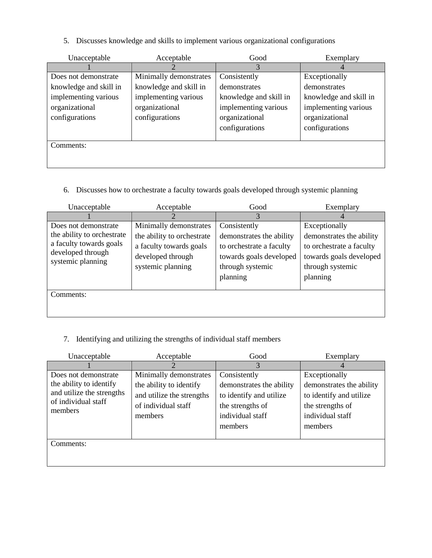5. Discusses knowledge and skills to implement various organizational configurations

| Unacceptable           | Acceptable             | Good                   | Exemplary              |
|------------------------|------------------------|------------------------|------------------------|
|                        |                        | 3                      |                        |
| Does not demonstrate   | Minimally demonstrates | Consistently           | Exceptionally          |
| knowledge and skill in | knowledge and skill in | demonstrates           | demonstrates           |
| implementing various   | implementing various   | knowledge and skill in | knowledge and skill in |
| organizational         | organizational         | implementing various   | implementing various   |
| configurations         | configurations         | organizational         | organizational         |
|                        |                        | configurations         | configurations         |
|                        |                        |                        |                        |
| Comments:              |                        |                        |                        |
|                        |                        |                        |                        |
|                        |                        |                        |                        |

6. Discusses how to orchestrate a faculty towards goals developed through systemic planning

| Unacceptable                                                                                                            | Acceptable                                                                                                                | Good                                                                                                                            | Exemplary                                                                                                                        |
|-------------------------------------------------------------------------------------------------------------------------|---------------------------------------------------------------------------------------------------------------------------|---------------------------------------------------------------------------------------------------------------------------------|----------------------------------------------------------------------------------------------------------------------------------|
|                                                                                                                         |                                                                                                                           | 3                                                                                                                               |                                                                                                                                  |
| Does not demonstrate<br>the ability to orchestrate<br>a faculty towards goals<br>developed through<br>systemic planning | Minimally demonstrates<br>the ability to orchestrate<br>a faculty towards goals<br>developed through<br>systemic planning | Consistently<br>demonstrates the ability<br>to orchestrate a faculty<br>towards goals developed<br>through systemic<br>planning | Exceptionally<br>demonstrates the ability<br>to orchestrate a faculty<br>towards goals developed<br>through systemic<br>planning |
| Comments:                                                                                                               |                                                                                                                           |                                                                                                                                 |                                                                                                                                  |

## 7. Identifying and utilizing the strengths of individual staff members

| Unacceptable                   | Acceptable                | Good                     | Exemplary                |
|--------------------------------|---------------------------|--------------------------|--------------------------|
|                                |                           | 3                        |                          |
| Does not demonstrate           | Minimally demonstrates    | Consistently             | Exceptionally            |
| the ability to identify        | the ability to identify   | demonstrates the ability | demonstrates the ability |
| and utilize the strengths      | and utilize the strengths | to identify and utilize  | to identify and utilize  |
| of individual staff<br>members | of individual staff       | the strengths of         | the strengths of         |
|                                | members                   | individual staff         | individual staff         |
|                                |                           | members                  | members                  |
|                                |                           |                          |                          |
| Comments:                      |                           |                          |                          |
|                                |                           |                          |                          |
|                                |                           |                          |                          |